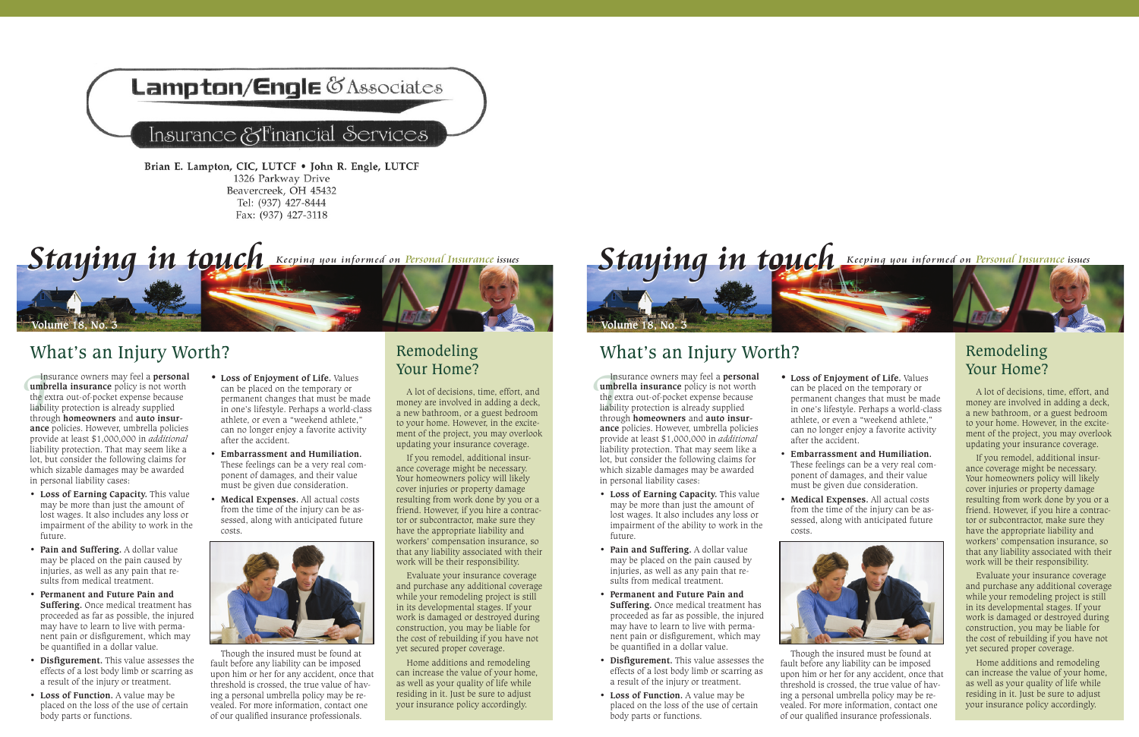## **ampton/Engle CAssociates**

### Insurance &Financial Services

Brian E. Lampton, CIC, LUTCF . John R. Engle, LUTCF 1326 Parkway Drive Beavercreek, OH 45432 Tel: (937) 427-8444 Fax: (937) 427-3118



## What's an Injury Worth? Remodeling

Instrumb<br>the explicit throus<br>throus Insurance owners may feel a **personal umbrella insurance** policy is not worth the extra out-of-pocket expense because liability protection is already supplied through **homeowners** and **auto insurance** policies. However, umbrella policies provide at least \$1,000,000 in *additional* liability protection. That may seem like a lot, but consider the following claims for which sizable damages may be awarded in personal liability cases:

- • **Loss of Earning Capacity.** This value may be more than just the amount of lost wages. It also includes any loss or impairment of the ability to work in the future.
- **Pain and Suffering.** A dollar value may be placed on the pain caused by injuries, as well as any pain that results from medical treatment.
- • **Permanent and Future Pain and Suffering.** Once medical treatment has proceeded as far as possible, the injured may have to learn to live with permanent pain or disfigurement, which may be quantified in a dollar value.
- • **Disfigurement.** This value assesses the effects of a lost body limb or scarring as a result of the injury or treatment.
- • **Loss of Function.** A value may be placed on the loss of the use of certain body parts or functions.
- **• Loss of Enjoyment of Life.** Values can be placed on the temporary or permanent changes that must be made in one's lifestyle. Perhaps a world-class athlete, or even a "weekend athlete," can no longer enjoy a favorite activity after the accident.
- • **Embarrassment and Humiliation.** These feelings can be a very real component of damages, and their value must be given due consideration.
- **Medical Expenses.** All actual costs from the time of the injury can be assessed, along with anticipated future costs.



Though the insured must be found at fault before any liability can be imposed upon him or her for any accident, once that threshold is crossed, the true value of having a personal umbrella policy may be revealed. For more information, contact one of our qualified insurance professionals.

# Your Home?

A lot of decisions, time, effort, and money are involved in adding a deck, a new bathroom, or a guest bedroom to your home. However, in the excitement of the project, you may overlook updating your insurance coverage.

If you remodel, additional insurance coverage might be necessary. Your homeowners policy will likely cover injuries or property damage resulting from work done by you or a friend. However, if you hire a contractor or subcontractor, make sure they have the appropriate liability and workers' compensation insurance, so that any liability associated with their work will be their responsibility.

Evaluate your insurance coverage and purchase any additional coverage while your remodeling project is still in its developmental stages. If your work is damaged or destroyed during construction, you may be liable for the cost of rebuilding if you have not yet secured proper coverage.

Home additions and remodeling can increase the value of your home, as well as your quality of life while residing in it. Just be sure to adjust your insurance policy accordingly.